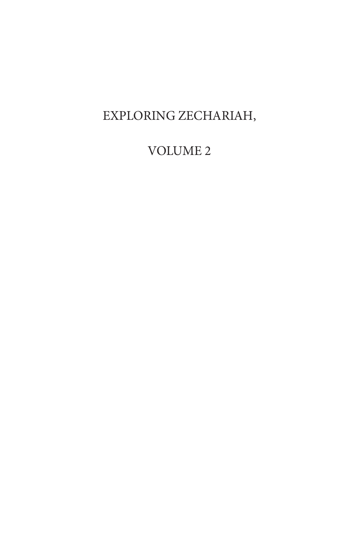# EXPLORING ZECHARIAH,

## VOLUME 2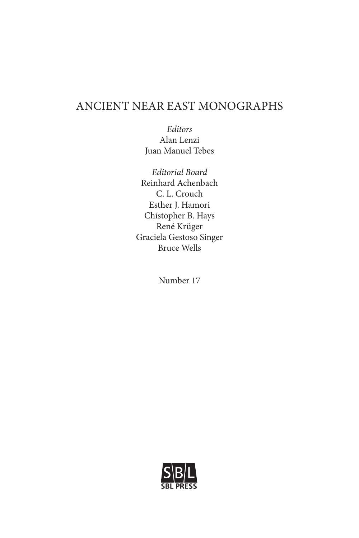### ANCIENT NEAR EAST MONOGRAPHS

*Editors* Alan Lenzi Juan Manuel Tebes

*Editorial Board* Reinhard Achenbach C. L. Crouch Esther J. Hamori Chistopher B. Hays René Krüger Graciela Gestoso Singer Bruce Wells

Number 17

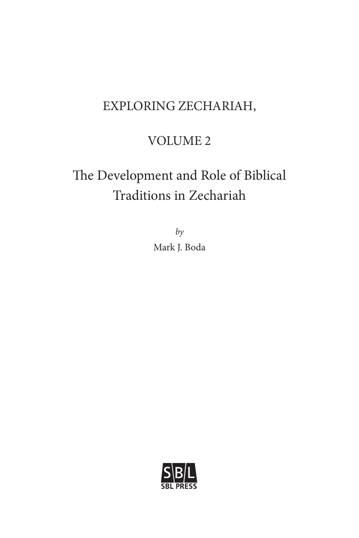# EXPLORING ZECHARIAH,

## VOLUME 2

# The Development and Role of Biblical Traditions in Zechariah

*by* Mark J. Boda

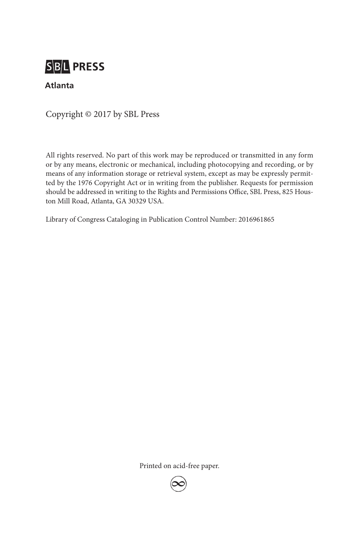# **SBL PRESS**

#### **Atlanta**

Copyright © 2017 by SBL Press

All rights reserved. No part of this work may be reproduced or transmitted in any form or by any means, electronic or mechanical, including photocopying and recording, or by means of any information storage or retrieval system, except as may be expressly permitted by the 1976 Copyright Act or in writing from the publisher. Requests for permission should be addressed in writing to the Rights and Permissions Office, SBL Press, 825 Houston Mill Road, Atlanta, GA 30329 USA.

Library of Congress Cataloging in Publication Control Number: 2016961865

Printed on acid-free paper.

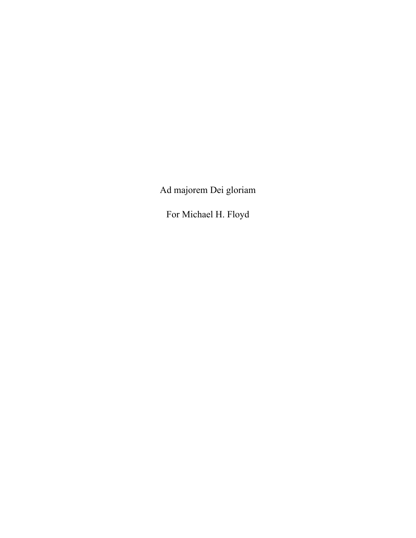Ad majorem Dei gloriam

For Michael H. Floyd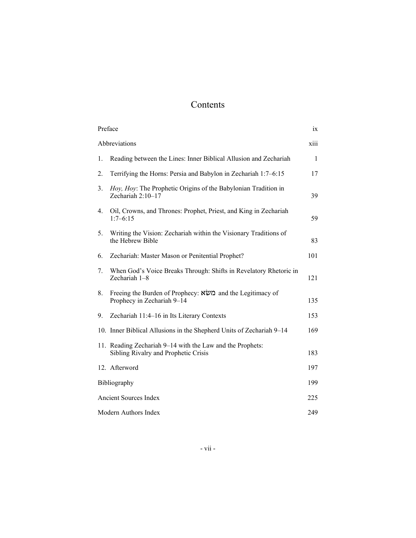## Contents

| Preface<br>1X                |                                                                                                   |              |  |  |
|------------------------------|---------------------------------------------------------------------------------------------------|--------------|--|--|
| xiii<br>Abbreviations        |                                                                                                   |              |  |  |
| 1.                           | Reading between the Lines: Inner Biblical Allusion and Zechariah                                  | $\mathbf{1}$ |  |  |
| 2.                           | Terrifying the Horns: Persia and Babylon in Zechariah 1:7–6:15                                    | 17           |  |  |
| 3.                           | Hoy, Hoy: The Prophetic Origins of the Babylonian Tradition in<br>Zechariah $2:10-17$             | 39           |  |  |
| 4.                           | Oil, Crowns, and Thrones: Prophet, Priest, and King in Zechariah<br>$1:7-6:15$                    | 59           |  |  |
| 5.                           | Writing the Vision: Zechariah within the Visionary Traditions of<br>the Hebrew Bible              | 83           |  |  |
| 6.                           | Zechariah: Master Mason or Penitential Prophet?                                                   | 101          |  |  |
| 7.                           | When God's Voice Breaks Through: Shifts in Revelatory Rhetoric in<br>Zechariah 1-8                | 121          |  |  |
| 8.                           | Freeing the Burden of Prophecy: משא and the Legitimacy of<br>Prophecy in Zechariah 9-14           | 135          |  |  |
| 9.                           | Zechariah 11:4-16 in Its Literary Contexts                                                        | 153          |  |  |
|                              | 10. Inner Biblical Allusions in the Shepherd Units of Zechariah 9–14                              | 169          |  |  |
|                              | 11. Reading Zechariah 9-14 with the Law and the Prophets:<br>Sibling Rivalry and Prophetic Crisis | 183          |  |  |
|                              | 12. Afterword                                                                                     | 197          |  |  |
| Bibliography                 |                                                                                                   | 199          |  |  |
| <b>Ancient Sources Index</b> |                                                                                                   | 225          |  |  |
| Modern Authors Index         |                                                                                                   |              |  |  |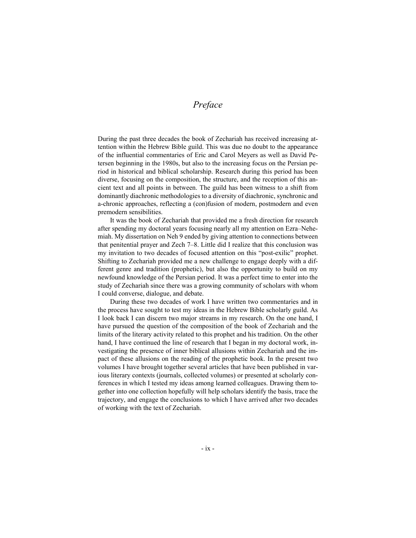#### *Preface*

During the past three decades the book of Zechariah has received increasing attention within the Hebrew Bible guild. This was due no doubt to the appearance of the influential commentaries of Eric and Carol Meyers as well as David Petersen beginning in the 1980s, but also to the increasing focus on the Persian period in historical and biblical scholarship. Research during this period has been diverse, focusing on the composition, the structure, and the reception of this ancient text and all points in between. The guild has been witness to a shift from dominantly diachronic methodologies to a diversity of diachronic, synchronic and a-chronic approaches, reflecting a (con)fusion of modern, postmodern and even premodern sensibilities.

It was the book of Zechariah that provided me a fresh direction for research after spending my doctoral years focusing nearly all my attention on Ezra–Nehemiah. My dissertation on Neh 9 ended by giving attention to connections between that penitential prayer and Zech 7–8. Little did I realize that this conclusion was my invitation to two decades of focused attention on this "post-exilic" prophet. Shifting to Zechariah provided me a new challenge to engage deeply with a different genre and tradition (prophetic), but also the opportunity to build on my newfound knowledge of the Persian period. It was a perfect time to enter into the study of Zechariah since there was a growing community of scholars with whom I could converse, dialogue, and debate.

During these two decades of work I have written two commentaries and in the process have sought to test my ideas in the Hebrew Bible scholarly guild. As I look back I can discern two major streams in my research. On the one hand, I have pursued the question of the composition of the book of Zechariah and the limits of the literary activity related to this prophet and his tradition. On the other hand, I have continued the line of research that I began in my doctoral work, investigating the presence of inner biblical allusions within Zechariah and the impact of these allusions on the reading of the prophetic book. In the present two volumes I have brought together several articles that have been published in various literary contexts (journals, collected volumes) or presented at scholarly conferences in which I tested my ideas among learned colleagues. Drawing them together into one collection hopefully will help scholars identify the basis, trace the trajectory, and engage the conclusions to which I have arrived after two decades of working with the text of Zechariah.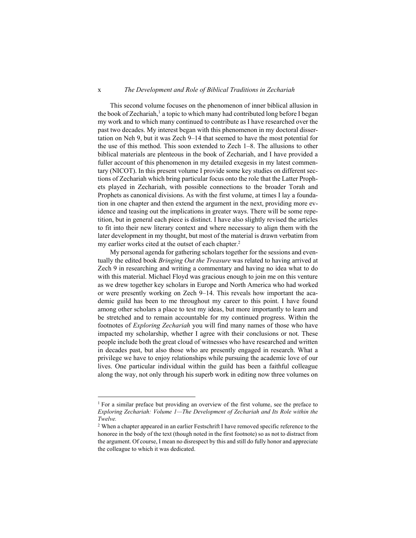#### x *The Development and Role of Biblical Traditions in Zechariah*

This second volume focuses on the phenomenon of inner biblical allusion in the book of Zechariah,<sup>1</sup> a topic to which many had contributed long before I began my work and to which many continued to contribute as I have researched over the past two decades. My interest began with this phenomenon in my doctoral dissertation on Neh 9, but it was Zech 9–14 that seemed to have the most potential for the use of this method. This soon extended to Zech 1–8. The allusions to other biblical materials are plenteous in the book of Zechariah, and I have provided a fuller account of this phenomenon in my detailed exegesis in my latest commentary (NICOT). In this present volume I provide some key studies on different sections of Zechariah which bring particular focus onto the role that the Latter Prophets played in Zechariah, with possible connections to the broader Torah and Prophets as canonical divisions. As with the first volume, at times I lay a foundation in one chapter and then extend the argument in the next, providing more evidence and teasing out the implications in greater ways. There will be some repetition, but in general each piece is distinct. I have also slightly revised the articles to fit into their new literary context and where necessary to align them with the later development in my thought, but most of the material is drawn verbatim from my earlier works cited at the outset of each chapter.<sup>2</sup>

My personal agenda for gathering scholars together for the sessions and eventually the edited book *Bringing Out the Treasure* was related to having arrived at Zech 9 in researching and writing a commentary and having no idea what to do with this material. Michael Floyd was gracious enough to join me on this venture as we drew together key scholars in Europe and North America who had worked or were presently working on Zech 9–14. This reveals how important the academic guild has been to me throughout my career to this point. I have found among other scholars a place to test my ideas, but more importantly to learn and be stretched and to remain accountable for my continued progress. Within the footnotes of *Exploring Zechariah* you will find many names of those who have impacted my scholarship, whether I agree with their conclusions or not. These people include both the great cloud of witnesses who have researched and written in decades past, but also those who are presently engaged in research. What a privilege we have to enjoy relationships while pursuing the academic love of our lives. One particular individual within the guild has been a faithful colleague along the way, not only through his superb work in editing now three volumes on

 $\overline{a}$ 

 $1$  For a similar preface but providing an overview of the first volume, see the preface to *Exploring Zechariah: Volume 1—The Development of Zechariah and Its Role within the Twelve.*

<sup>2</sup> When a chapter appeared in an earlier Festschrift I have removed specific reference to the honoree in the body of the text (though noted in the first footnote) so as not to distract from the argument. Of course, I mean no disrespect by this and still do fully honor and appreciate the colleague to which it was dedicated.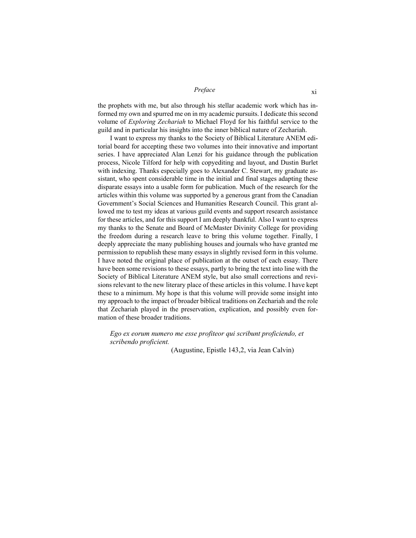#### *Preface* xi

the prophets with me, but also through his stellar academic work which has informed my own and spurred me on in my academic pursuits. I dedicate this second volume of *Exploring Zechariah* to Michael Floyd for his faithful service to the guild and in particular his insights into the inner biblical nature of Zechariah.

I want to express my thanks to the Society of Biblical Literature ANEM editorial board for accepting these two volumes into their innovative and important series. I have appreciated Alan Lenzi for his guidance through the publication process, Nicole Tilford for help with copyediting and layout, and Dustin Burlet with indexing. Thanks especially goes to Alexander C. Stewart, my graduate assistant, who spent considerable time in the initial and final stages adapting these disparate essays into a usable form for publication. Much of the research for the articles within this volume was supported by a generous grant from the Canadian Government's Social Sciences and Humanities Research Council. This grant allowed me to test my ideas at various guild events and support research assistance for these articles, and for this support I am deeply thankful. Also I want to express my thanks to the Senate and Board of McMaster Divinity College for providing the freedom during a research leave to bring this volume together. Finally, I deeply appreciate the many publishing houses and journals who have granted me permission to republish these many essays in slightly revised form in this volume. I have noted the original place of publication at the outset of each essay. There have been some revisions to these essays, partly to bring the text into line with the Society of Biblical Literature ANEM style, but also small corrections and revisions relevant to the new literary place of these articles in this volume. I have kept these to a minimum. My hope is that this volume will provide some insight into my approach to the impact of broader biblical traditions on Zechariah and the role that Zechariah played in the preservation, explication, and possibly even formation of these broader traditions.

*Ego ex eorum numero me esse profiteor qui scribunt proficiendo, et scribendo proficient.* 

(Augustine, Epistle 143,2, via Jean Calvin)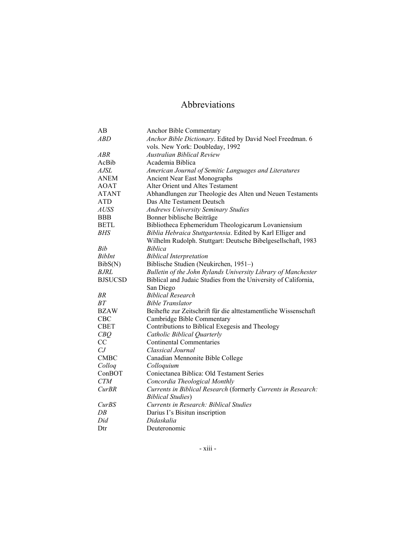## Abbreviations

| AB             | Anchor Bible Commentary                                         |
|----------------|-----------------------------------------------------------------|
| ABD            | Anchor Bible Dictionary. Edited by David Noel Freedman. 6       |
|                | vols. New York: Doubleday, 1992                                 |
| ABR            | <b>Australian Biblical Review</b>                               |
| AcBib          | Academia Biblica                                                |
| <b>AJSL</b>    | American Journal of Semitic Languages and Literatures           |
| <b>ANEM</b>    | <b>Ancient Near East Monographs</b>                             |
| <b>AOAT</b>    | Alter Orient und Altes Testament                                |
| <b>ATANT</b>   | Abhandlungen zur Theologie des Alten und Neuen Testaments       |
| <b>ATD</b>     | Das Alte Testament Deutsch                                      |
| <b>AUSS</b>    | <b>Andrews University Seminary Studies</b>                      |
| <b>BBB</b>     | Bonner biblische Beiträge                                       |
| <b>BETL</b>    | Bibliotheca Ephemeridum Theologicarum Lovaniensium              |
| BHS            | Biblia Hebraica Stuttgartensia. Edited by Karl Elliger and      |
|                | Wilhelm Rudolph. Stuttgart: Deutsche Bibelgesellschaft, 1983    |
| Bib            | <b>Biblica</b>                                                  |
| <b>BibInt</b>  | <b>Biblical Interpretation</b>                                  |
| BibS(N)        | Biblische Studien (Neukirchen, 1951–)                           |
| <i>BJRL</i>    | Bulletin of the John Rylands University Library of Manchester   |
| <b>BJSUCSD</b> | Biblical and Judaic Studies from the University of California,  |
|                | San Diego                                                       |
| BR             | <b>Biblical Research</b>                                        |
| BT             | <b>Bible Translator</b>                                         |
| <b>BZAW</b>    | Beihefte zur Zeitschrift für die alttestamentliche Wissenschaft |
| <b>CBC</b>     | Cambridge Bible Commentary                                      |
| <b>CBET</b>    | Contributions to Biblical Exegesis and Theology                 |
| CBQ            | Catholic Biblical Quarterly                                     |
| СC             | <b>Continental Commentaries</b>                                 |
| CJ             | Classical Journal                                               |
| <b>CMBC</b>    | Canadian Mennonite Bible College                                |
| Colloq         | Colloquium                                                      |
| ConBOT         | Coniectanea Biblica: Old Testament Series                       |
| <b>CTM</b>     | Concordia Theological Monthly                                   |
| <b>CurBR</b>   | Currents in Biblical Research (formerly Currents in Research:   |
|                | <b>Biblical Studies</b> )                                       |
| <b>CurBS</b>   | Currents in Research: Biblical Studies                          |
| DB             | Darius I's Bisitun inscription                                  |
| Did            | Didaskalia                                                      |
| Dtr            | Deuteronomic                                                    |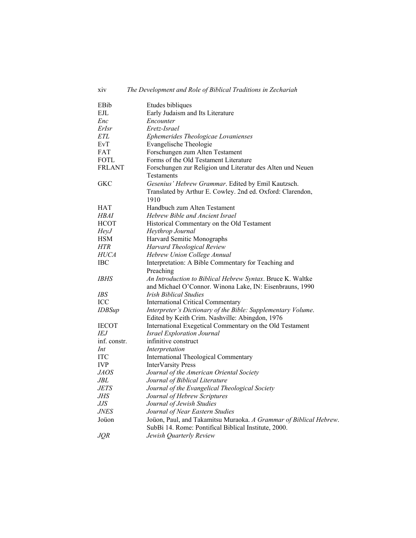| xiv           | The Development and Role of Biblical Traditions in Zechariah                                                              |
|---------------|---------------------------------------------------------------------------------------------------------------------------|
| EBib          | Etudes bibliques                                                                                                          |
| EJL           | Early Judaism and Its Literature                                                                                          |
| Enc           | Encounter                                                                                                                 |
| ErIsr         | Eretz-Israel                                                                                                              |
| ETL           | Ephemerides Theologicae Lovanienses                                                                                       |
| EvT           | Evangelische Theologie                                                                                                    |
| FAT           | Forschungen zum Alten Testament                                                                                           |
| FOTL          | Forms of the Old Testament Literature                                                                                     |
| <b>FRLANT</b> | Forschungen zur Religion und Literatur des Alten und Neuen                                                                |
|               | Testaments                                                                                                                |
| <b>GKC</b>    | Gesenius' Hebrew Grammar. Edited by Emil Kautzsch.                                                                        |
|               | Translated by Arthur E. Cowley. 2nd ed. Oxford: Clarendon,                                                                |
|               | 1910                                                                                                                      |
| HAT           | Handbuch zum Alten Testament                                                                                              |
| HBAI          | Hebrew Bible and Ancient Israel                                                                                           |
| <b>HCOT</b>   | Historical Commentary on the Old Testament                                                                                |
| HeyJ          | Heythrop Journal                                                                                                          |
| <b>HSM</b>    | Harvard Semitic Monographs                                                                                                |
| HTR           | Harvard Theological Review                                                                                                |
| <i>HUCA</i>   | Hebrew Union College Annual                                                                                               |
| IBC           | Interpretation: A Bible Commentary for Teaching and                                                                       |
|               | Preaching                                                                                                                 |
| IBHS          | An Introduction to Biblical Hebrew Syntax. Bruce K. Waltke                                                                |
|               | and Michael O'Connor. Winona Lake, IN: Eisenbrauns, 1990                                                                  |
| IBS           | <b>Irish Biblical Studies</b>                                                                                             |
| ICC           | <b>International Critical Commentary</b>                                                                                  |
| <b>IDBSup</b> | Interpreter's Dictionary of the Bible: Supplementary Volume.                                                              |
|               | Edited by Keith Crim. Nashville: Abingdon, 1976                                                                           |
| <b>IECOT</b>  | International Exegetical Commentary on the Old Testament                                                                  |
| IEJ           | <i>Israel Exploration Journal</i>                                                                                         |
| inf. constr.  | infinitive construct                                                                                                      |
| Int           | Interpretation                                                                                                            |
| <b>ITC</b>    | International Theological Commentary                                                                                      |
| <b>IVP</b>    | <b>InterVarsity Press</b>                                                                                                 |
| <i>JAOS</i>   | Journal of the American Oriental Society                                                                                  |
| JBL           | Journal of Biblical Literature                                                                                            |
| <i>JETS</i>   | Journal of the Evangelical Theological Society                                                                            |
| JHS           | Journal of Hebrew Scriptures                                                                                              |
| IJЅ           | Journal of Jewish Studies                                                                                                 |
| <i>JNES</i>   | Journal of Near Eastern Studies                                                                                           |
| Joüon         | Joüon, Paul, and Takamitsu Muraoka. A Grammar of Biblical Hebrew.<br>SubBi 14. Rome: Pontifical Biblical Institute, 2000. |
| JQR           | Jewish Quarterly Review                                                                                                   |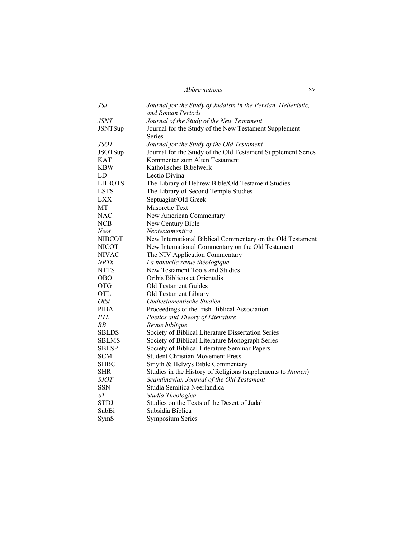#### *Abbreviations*

| <b>JSJ</b>     | Journal for the Study of Judaism in the Persian, Hellenistic,<br>and Roman Periods |
|----------------|------------------------------------------------------------------------------------|
| <i>JSNT</i>    | Journal of the Study of the New Testament                                          |
| <b>JSNTSup</b> | Journal for the Study of the New Testament Supplement<br><b>Series</b>             |
| <i>JSOT</i>    | Journal for the Study of the Old Testament                                         |
| <b>JSOTSup</b> | Journal for the Study of the Old Testament Supplement Series                       |
| <b>KAT</b>     | Kommentar zum Alten Testament                                                      |
| KBW            | Katholisches Bibelwerk                                                             |
| LD             | Lectio Divina                                                                      |
| LHBOTS         | The Library of Hebrew Bible/Old Testament Studies                                  |
| <b>LSTS</b>    | The Library of Second Temple Studies                                               |
| <b>LXX</b>     | Septuagint/Old Greek                                                               |
| MT             | Masoretic Text                                                                     |
| <b>NAC</b>     | New American Commentary                                                            |
| <b>NCB</b>     | New Century Bible                                                                  |
| Neot           | Neotestamentica                                                                    |
| <b>NIBCOT</b>  | New International Biblical Commentary on the Old Testament                         |
| <b>NICOT</b>   | New International Commentary on the Old Testament                                  |
| <b>NIVAC</b>   | The NIV Application Commentary                                                     |
| NRTh           | La nouvelle revue théologique                                                      |
| <b>NTTS</b>    | New Testament Tools and Studies                                                    |
| <b>OBO</b>     | Oribis Biblicus et Orientalis                                                      |
| <b>OTG</b>     | <b>Old Testament Guides</b>                                                        |
| <b>OTL</b>     | Old Testament Library                                                              |
| $O$ t $St$     | Oudtestamentische Studiën                                                          |
| PIBA           | Proceedings of the Irish Biblical Association                                      |
| PTL            | Poetics and Theory of Literature                                                   |
| RB             | Revue biblique                                                                     |
| <b>SBLDS</b>   | Society of Biblical Literature Dissertation Series                                 |
| SBLMS          | Society of Biblical Literature Monograph Series                                    |
| <b>SBLSP</b>   | Society of Biblical Literature Seminar Papers                                      |
| <b>SCM</b>     | <b>Student Christian Movement Press</b>                                            |
| SHBC           | Smyth & Helwys Bible Commentary                                                    |
| <b>SHR</b>     | Studies in the History of Religions (supplements to Numen)                         |
| <i>SJOT</i>    | Scandinavian Journal of the Old Testament                                          |
| <b>SSN</b>     | Studia Semitica Neerlandica                                                        |
| ST             | Studia Theologica                                                                  |
| STDJ           | Studies on the Texts of the Desert of Judah                                        |
| SubBi          | Subsidia Biblica                                                                   |
| SymS           | <b>Symposium Series</b>                                                            |